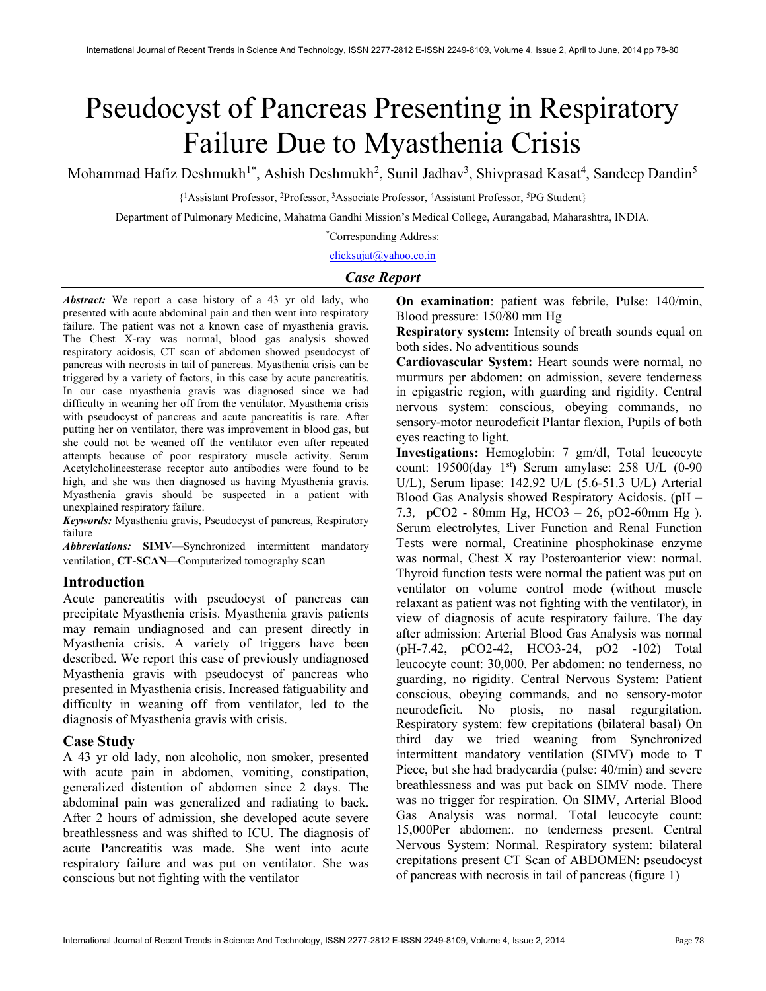# Pseudocyst of Pancreas Presenting in Respiratory Failure Due to Myasthenia Crisis

Mohammad Hafiz Deshmukh<sup>1\*</sup>, Ashish Deshmukh<sup>2</sup>, Sunil Jadhav<sup>3</sup>, Shivprasad Kasat<sup>4</sup>, Sandeep Dandin<sup>5</sup>

{ <sup>1</sup>Assistant Professor, <sup>2</sup>Professor, <sup>3</sup>Associate Professor, <sup>4</sup>Assistant Professor, <sup>5</sup>PG Student}

Department of Pulmonary Medicine, Mahatma Gandhi Mission's Medical College, Aurangabad, Maharashtra, INDIA.

\*Corresponding Address:

clicksujat@yahoo.co.in

## Case Report

Abstract: We report a case history of a 43 yr old lady, who presented with acute abdominal pain and then went into respiratory failure. The patient was not a known case of myasthenia gravis. The Chest X-ray was normal, blood gas analysis showed respiratory acidosis, CT scan of abdomen showed pseudocyst of pancreas with necrosis in tail of pancreas. Myasthenia crisis can be triggered by a variety of factors, in this case by acute pancreatitis. In our case myasthenia gravis was diagnosed since we had difficulty in weaning her off from the ventilator. Myasthenia crisis with pseudocyst of pancreas and acute pancreatitis is rare. After putting her on ventilator, there was improvement in blood gas, but she could not be weaned off the ventilator even after repeated attempts because of poor respiratory muscle activity. Serum Acetylcholineesterase receptor auto antibodies were found to be high, and she was then diagnosed as having Myasthenia gravis. Myasthenia gravis should be suspected in a patient with unexplained respiratory failure.

Keywords: Myasthenia gravis, Pseudocyst of pancreas, Respiratory failure

Abbreviations: SIMV—Synchronized intermittent mandatory ventilation, CT-SCAN—Computerized tomography scan

## Introduction

Acute pancreatitis with pseudocyst of pancreas can precipitate Myasthenia crisis. Myasthenia gravis patients may remain undiagnosed and can present directly in Myasthenia crisis. A variety of triggers have been described. We report this case of previously undiagnosed Myasthenia gravis with pseudocyst of pancreas who presented in Myasthenia crisis. Increased fatiguability and difficulty in weaning off from ventilator, led to the diagnosis of Myasthenia gravis with crisis.

## Case Study

A 43 yr old lady, non alcoholic, non smoker, presented with acute pain in abdomen, vomiting, constipation, generalized distention of abdomen since 2 days. The abdominal pain was generalized and radiating to back. After 2 hours of admission, she developed acute severe breathlessness and was shifted to ICU. The diagnosis of acute Pancreatitis was made. She went into acute respiratory failure and was put on ventilator. She was conscious but not fighting with the ventilator

On examination: patient was febrile, Pulse: 140/min, Blood pressure: 150/80 mm Hg

Respiratory system: Intensity of breath sounds equal on both sides. No adventitious sounds

Cardiovascular System: Heart sounds were normal, no murmurs per abdomen: on admission, severe tenderness in epigastric region, with guarding and rigidity. Central nervous system: conscious, obeying commands, no sensory-motor neurodeficit Plantar flexion, Pupils of both eyes reacting to light.

Investigations: Hemoglobin: 7 gm/dl, Total leucocyte count: 19500(day 1st) Serum amylase: 258 U/L (0-90 U/L), Serum lipase: 142.92 U/L (5.6-51.3 U/L) Arterial Blood Gas Analysis showed Respiratory Acidosis. (pH – 7.3, pCO2 - 80mm Hg, HCO3 – 26, pO2-60mm Hg ). Serum electrolytes, Liver Function and Renal Function Tests were normal, Creatinine phosphokinase enzyme was normal, Chest X ray Posteroanterior view: normal. Thyroid function tests were normal the patient was put on ventilator on volume control mode (without muscle relaxant as patient was not fighting with the ventilator), in view of diagnosis of acute respiratory failure. The day after admission: Arterial Blood Gas Analysis was normal (pH-7.42, pCO2-42, HCO3-24, pO2 -102) Total leucocyte count: 30,000. Per abdomen: no tenderness, no guarding, no rigidity. Central Nervous System: Patient conscious, obeying commands, and no sensory-motor neurodeficit. No ptosis, no nasal regurgitation. Respiratory system: few crepitations (bilateral basal) On third day we tried weaning from Synchronized intermittent mandatory ventilation (SIMV) mode to T Piece, but she had bradycardia (pulse: 40/min) and severe breathlessness and was put back on SIMV mode. There was no trigger for respiration. On SIMV, Arterial Blood Gas Analysis was normal. Total leucocyte count: 15,000Per abdomen:. no tenderness present. Central Nervous System: Normal. Respiratory system: bilateral crepitations present CT Scan of ABDOMEN: pseudocyst of pancreas with necrosis in tail of pancreas (figure 1)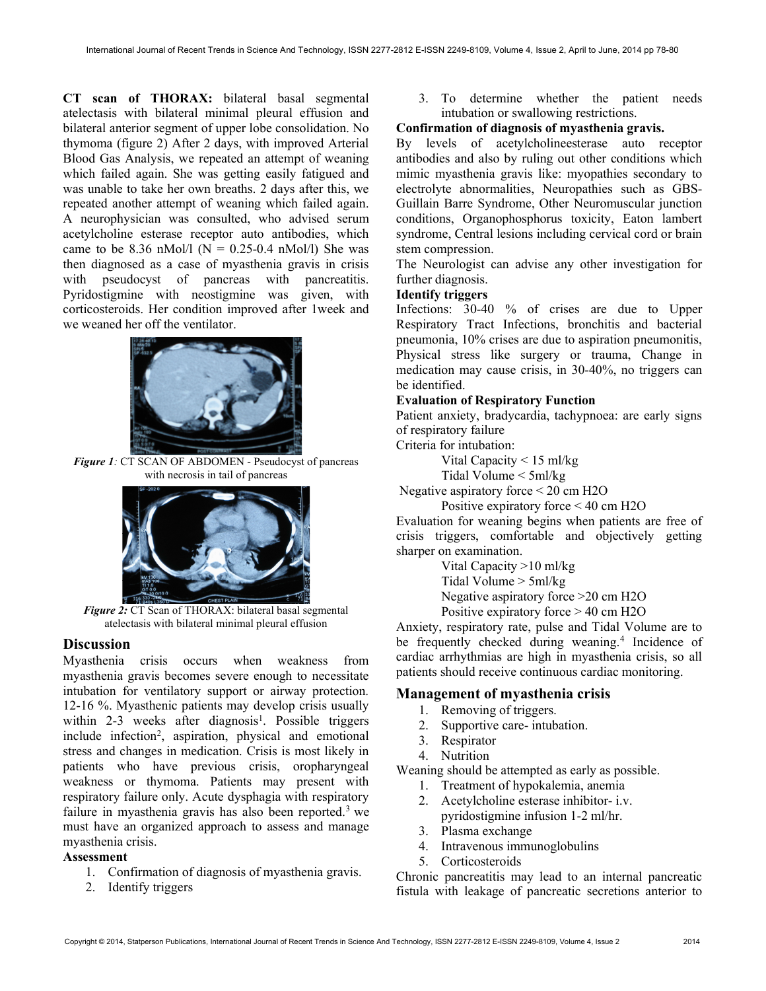CT scan of THORAX: bilateral basal segmental atelectasis with bilateral minimal pleural effusion and bilateral anterior segment of upper lobe consolidation. No thymoma (figure 2) After 2 days, with improved Arterial Blood Gas Analysis, we repeated an attempt of weaning which failed again. She was getting easily fatigued and was unable to take her own breaths. 2 days after this, we repeated another attempt of weaning which failed again. A neurophysician was consulted, who advised serum acetylcholine esterase receptor auto antibodies, which came to be 8.36 nMol/l ( $N = 0.25$ -0.4 nMol/l) She was then diagnosed as a case of myasthenia gravis in crisis with pseudocyst of pancreas with pancreatitis. Pyridostigmine with neostigmine was given, with corticosteroids. Her condition improved after 1week and we weaned her off the ventilator.



Figure 1: CT SCAN OF ABDOMEN - Pseudocyst of pancreas with necrosis in tail of pancreas



Figure 2: CT Scan of THORAX: bilateral basal segmental atelectasis with bilateral minimal pleural effusion

#### **Discussion**

Myasthenia crisis occurs when weakness from myasthenia gravis becomes severe enough to necessitate intubation for ventilatory support or airway protection. 12-16 %. Myasthenic patients may develop crisis usually within 2-3 weeks after diagnosis<sup>1</sup>. Possible triggers include infection<sup>2</sup>, aspiration, physical and emotional stress and changes in medication. Crisis is most likely in patients who have previous crisis, oropharyngeal weakness or thymoma. Patients may present with respiratory failure only. Acute dysphagia with respiratory failure in myasthenia gravis has also been reported.<sup>3</sup> we must have an organized approach to assess and manage myasthenia crisis.

## Assessment

- 1. Confirmation of diagnosis of myasthenia gravis.
- 2. Identify triggers

3. To determine whether the patient needs intubation or swallowing restrictions.

## Confirmation of diagnosis of myasthenia gravis.

By levels of acetylcholineesterase auto receptor antibodies and also by ruling out other conditions which mimic myasthenia gravis like: myopathies secondary to electrolyte abnormalities, Neuropathies such as GBS-Guillain Barre Syndrome, Other Neuromuscular junction conditions, Organophosphorus toxicity, Eaton lambert syndrome, Central lesions including cervical cord or brain stem compression.

The Neurologist can advise any other investigation for further diagnosis.

## Identify triggers

Infections: 30-40 % of crises are due to Upper Respiratory Tract Infections, bronchitis and bacterial pneumonia, 10% crises are due to aspiration pneumonitis, Physical stress like surgery or trauma, Change in medication may cause crisis, in 30-40%, no triggers can be identified.

## Evaluation of Respiratory Function

Patient anxiety, bradycardia, tachypnoea: are early signs of respiratory failure

Criteria for intubation:

Vital Capacity < 15 ml/kg

Tidal Volume < 5ml/kg

Negative aspiratory force < 20 cm H2O

Positive expiratory force < 40 cm H2O

Evaluation for weaning begins when patients are free of crisis triggers, comfortable and objectively getting sharper on examination.

> Vital Capacity >10 ml/kg Tidal Volume > 5ml/kg Negative aspiratory force >20 cm H2O

Positive expiratory force > 40 cm H2O

Anxiety, respiratory rate, pulse and Tidal Volume are to be frequently checked during weaning.<sup>4</sup> Incidence of cardiac arrhythmias are high in myasthenia crisis, so all patients should receive continuous cardiac monitoring.

## Management of myasthenia crisis

- 1. Removing of triggers.
- 2. Supportive care- intubation.
- 3. Respirator
- 4. Nutrition

Weaning should be attempted as early as possible.

- 1. Treatment of hypokalemia, anemia
- 2. Acetylcholine esterase inhibitor- i.v. pyridostigmine infusion 1-2 ml/hr.
- 3. Plasma exchange
- 4. Intravenous immunoglobulins
- 5. Corticosteroids

Chronic pancreatitis may lead to an internal pancreatic fistula with leakage of pancreatic secretions anterior to